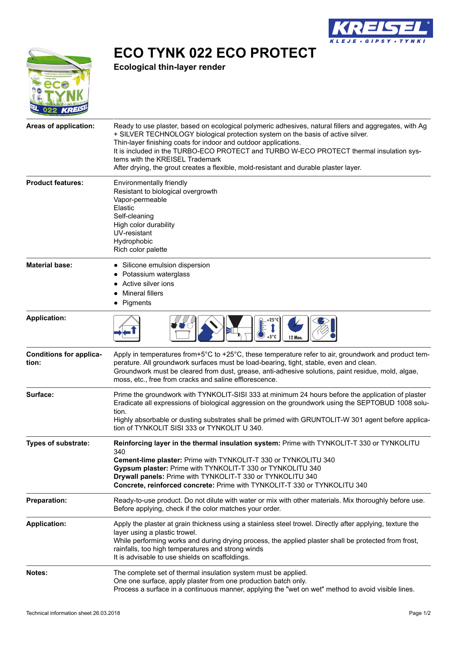

**ECO TYNK 022 ECO PROTECT**

**Ecological thin-layer render**

| <i></i>                                 |                                                                                                                                                                                                                                                                                                                                                                                                                                                                                     |
|-----------------------------------------|-------------------------------------------------------------------------------------------------------------------------------------------------------------------------------------------------------------------------------------------------------------------------------------------------------------------------------------------------------------------------------------------------------------------------------------------------------------------------------------|
| Areas of application:                   | Ready to use plaster, based on ecological polymeric adhesives, natural fillers and aggregates, with Ag<br>+ SILVER TECHNOLOGY biological protection system on the basis of active silver.<br>Thin-layer finishing coats for indoor and outdoor applications.<br>It is included in the TURBO-ECO PROTECT and TURBO W-ECO PROTECT thermal insulation sys-<br>tems with the KREISEL Trademark<br>After drying, the grout creates a flexible, mold-resistant and durable plaster layer. |
| <b>Product features:</b>                | Environmentally friendly<br>Resistant to biological overgrowth<br>Vapor-permeable<br>Elastic<br>Self-cleaning<br>High color durability<br>UV-resistant<br>Hydrophobic<br>Rich color palette                                                                                                                                                                                                                                                                                         |
| <b>Material base:</b>                   | • Silicone emulsion dispersion<br>Potassium waterglass<br>Active silver ions<br><b>Mineral fillers</b><br>• Pigments                                                                                                                                                                                                                                                                                                                                                                |
| <b>Application:</b>                     | $+5^{\circ}$ C<br><b>12 Mon.</b>                                                                                                                                                                                                                                                                                                                                                                                                                                                    |
| <b>Conditions for applica-</b><br>tion: | Apply in temperatures from+5°C to +25°C, these temperature refer to air, groundwork and product tem-<br>perature. All groundwork surfaces must be load-bearing, tight, stable, even and clean.<br>Groundwork must be cleared from dust, grease, anti-adhesive solutions, paint residue, mold, algae,<br>moss, etc., free from cracks and saline efflorescence.                                                                                                                      |
| Surface:                                | Prime the groundwork with TYNKOLIT-SISI 333 at minimum 24 hours before the application of plaster<br>Eradicate all expressions of biological aggression on the groundwork using the SEPTOBUD 1008 solu-<br>tion.<br>Highly absorbable or dusting substrates shall be primed with GRUNTOLIT-W 301 agent before applica-<br>tion of TYNKOLIT SISI 333 or TYNKOLIT U 340.                                                                                                              |
| <b>Types of substrate:</b>              | Reinforcing layer in the thermal insulation system: Prime with TYNKOLIT-T 330 or TYNKOLITU<br>340<br>Cement-lime plaster: Prime with TYNKOLIT-T 330 or TYNKOLITU 340<br>Gypsum plaster: Prime with TYNKOLIT-T 330 or TYNKOLITU 340<br>Drywall panels: Prime with TYNKOLIT-T 330 or TYNKOLITU 340<br>Concrete, reinforced concrete: Prime with TYNKOLIT-T 330 or TYNKOLITU 340                                                                                                       |
| <b>Preparation:</b>                     | Ready-to-use product. Do not dilute with water or mix with other materials. Mix thoroughly before use.<br>Before applying, check if the color matches your order.                                                                                                                                                                                                                                                                                                                   |
| <b>Application:</b>                     | Apply the plaster at grain thickness using a stainless steel trowel. Directly after applying, texture the<br>layer using a plastic trowel.<br>While performing works and during drying process, the applied plaster shall be protected from frost,<br>rainfalls, too high temperatures and strong winds<br>It is advisable to use shields on scaffoldings.                                                                                                                          |
| Notes:                                  | The complete set of thermal insulation system must be applied.<br>One one surface, apply plaster from one production batch only.<br>Process a surface in a continuous manner, applying the "wet on wet" method to avoid visible lines.                                                                                                                                                                                                                                              |